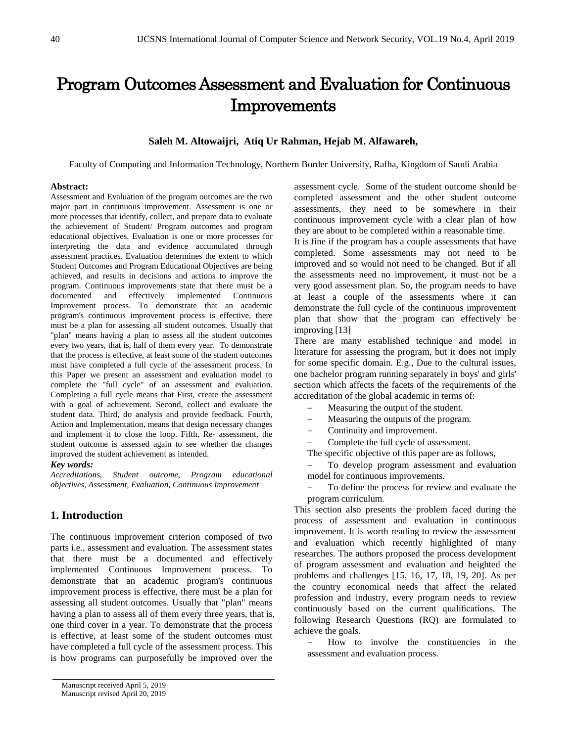# Program Outcomes Assessment and Evaluation for Continuous Improvements

## **Saleh M. Altowaijri, Atiq Ur Rahman, Hejab M. Alfawareh,**

Faculty of Computing and Information Technology, Northern Border University, Rafha, Kingdom of Saudi Arabia

#### **Abstract:**

Assessment and Evaluation of the program outcomes are the two major part in continuous improvement. Assessment is one or more processes that identify, collect, and prepare data to evaluate the achievement of Student/ Program outcomes and program educational objectives. Evaluation is one or more processes for interpreting the data and evidence accumulated through assessment practices. Evaluation determines the extent to which Student Outcomes and Program Educational Objectives are being achieved, and results in decisions and actions to improve the program. Continuous improvements state that there must be a documented and effectively implemented Continuous Improvement process. To demonstrate that an academic program's continuous improvement process is effective, there must be a plan for assessing all student outcomes. Usually that "plan" means having a plan to assess all the student outcomes every two years, that is, half of them every year. To demonstrate that the process is effective, at least some of the student outcomes must have completed a full cycle of the assessment process. In this Paper we present an assessment and evaluation model to complete the "full cycle" of an assessment and evaluation. Completing a full cycle means that First, create the assessment with a goal of achievement. Second, collect and evaluate the student data. Third, do analysis and provide feedback. Fourth, Action and Implementation, means that design necessary changes and implement it to close the loop. Fifth, Re- assessment, the student outcome is assessed again to see whether the changes improved the student achievement as intended.

#### *Key words:*

*Accreditations, Student outcome, Program educational objectives, Assessment, Evaluation, Continuous Improvement*

## **1. Introduction**

The continuous improvement criterion composed of two parts i.e., assessment and evaluation. The assessment states that there must be a documented and effectively implemented Continuous Improvement process. To demonstrate that an academic program's continuous improvement process is effective, there must be a plan for assessing all student outcomes. Usually that "plan" means having a plan to assess all of them every three years, that is, one third cover in a year. To demonstrate that the process is effective, at least some of the student outcomes must have completed a full cycle of the assessment process. This is how programs can purposefully be improved over the

assessment cycle. Some of the student outcome should be completed assessment and the other student outcome assessments, they need to be somewhere in their continuous improvement cycle with a clear plan of how they are about to be completed within a reasonable time.

It is fine if the program has a couple assessments that have completed. Some assessments may not need to be improved and so would not need to be changed. But if all the assessments need no improvement, it must not be a very good assessment plan. So, the program needs to have at least a couple of the assessments where it can demonstrate the full cycle of the continuous improvement plan that show that the program can effectively be improving [13]

There are many established technique and model in literature for assessing the program, but it does not imply for some specific domain. E.g., Due to the cultural issues, one bachelor program running separately in boys' and girls' section which affects the facets of the requirements of the accreditation of the global academic in terms of:

- Measuring the output of the student.
- − Measuring the outputs of the program.
- − Continuity and improvement.
- − Complete the full cycle of assessment.

The specific objective of this paper are as follows,

To develop program assessment and evaluation model for continuous improvements.

To define the process for review and evaluate the program curriculum.

This section also presents the problem faced during the process of assessment and evaluation in continuous improvement. It is worth reading to review the assessment and evaluation which recently highlighted of many researches. The authors proposed the process development of program assessment and evaluation and heighted the problems and challenges [15, 16, 17, 18, 19, 20]. As per the country economical needs that affect the related profession and industry, every program needs to review continuously based on the current qualifications. The following Research Questions (RQ) are formulated to achieve the goals.

How to involve the constituencies in the assessment and evaluation process.

Manuscript received April 5, 2019 Manuscript revised April 20, 2019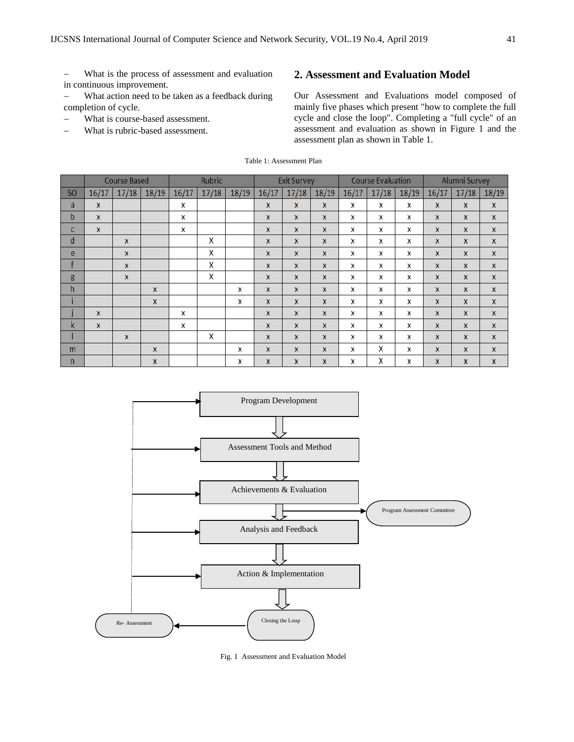− What is the process of assessment and evaluation in continuous improvement.

− What action need to be taken as a feedback during completion of cycle.

- What is course-based assessment.
- What is rubric-based assessment.

# **2. Assessment and Evaluation Model**

Our Assessment and Evaluations model composed of mainly five phases which present "how to complete the full cycle and close the loop". Completing a "full cycle" of an assessment and evaluation as shown in Figure 1 and the assessment plan as shown in Table 1.

|  |  | Table 1: Assessment Plan |  |
|--|--|--------------------------|--|
|--|--|--------------------------|--|

|                |              | <b>Course Based</b> |              |       | <b>Rubric</b> |       | <b>Exit Survey</b> |              |              | <b>Course Evaluation</b> |       |       | <b>Alumni Survey</b> |              |              |
|----------------|--------------|---------------------|--------------|-------|---------------|-------|--------------------|--------------|--------------|--------------------------|-------|-------|----------------------|--------------|--------------|
| S <sub>O</sub> | 16/17        | 17/18               | 18/19        | 16/17 | 17/18         | 18/19 | 16/17              | 17/18        | 18/19        | 16/17                    | 17/18 | 18/19 | 16/17                | 17/18        | 18/19        |
| a              | $\mathbf{x}$ |                     |              | x     |               |       | $\mathbf{x}$       | X            | X            | x                        | x     | X     | X                    | $\mathbf{x}$ | $\mathbf{x}$ |
| $\mathbf b$    | $\mathbf{x}$ |                     |              | X     |               |       | $\mathbf{x}$       | X            | X            | X                        | x     | X     | X                    | X            | $\mathbf{x}$ |
| c              | $\mathbf{x}$ |                     |              | X     |               |       | $\mathbf{x}$       | <b>X</b>     | $\mathbf{x}$ | X                        | x     | X     | $\mathbf{x}$         | X            | X            |
| d              |              | $\mathbf{x}$        |              |       | X             |       | $\mathbf{x}$       | X            | X            | X                        | x     | X     | X                    | $\mathbf{x}$ | X            |
| e              |              | $\mathbf{x}$        |              |       | X             |       | $\mathbf{x}$       | X            | X            | X                        | x     | X     | X                    | X            | $\mathbf{x}$ |
| f              |              | X                   |              |       | χ             |       | $\mathbf{x}$       | X            | X            | X                        | x     | X     | X                    | X            | X            |
| g              |              | $\mathbf{x}$        |              |       | X             |       | $\mathbf{x}$       | X            | X            | X                        | x     | X     | X                    | $\mathsf{x}$ | $\mathbf{x}$ |
| $\mathsf{h}$   |              |                     | $\mathbf{x}$ |       |               | x     | $\mathbf{x}$       | X            | X            | X                        | x     | X     | X                    | $\mathbf{x}$ | $\mathbf{x}$ |
|                |              |                     | X            |       |               | x     | $\mathbf{x}$       | X            | X            | X                        | x     | X     | X                    | X            | X            |
|                | $\mathbf{x}$ |                     |              | x     |               |       | $\mathbf{x}$       | $\mathbf{x}$ | $\mathbf{x}$ | X                        | x     | X     | X                    | $\mathbf x$  | $\mathbf{x}$ |
| k              | X            |                     |              | X     |               |       | $\mathbf{x}$       | X            | X            | X                        | x     | X     | X                    | X            | X            |
|                |              | $\mathbf{x}$        |              |       | X             |       | $\mathbf{x}$       | X            | X            | X                        | x     | X     | X                    | $\mathbf{x}$ | X            |
| m              |              |                     | X            |       |               | x     | $\mathbf{x}$       | X            | X            | X                        | χ     | X     | X                    | X            | <b>X</b>     |
| $\mathsf{n}$   |              |                     | $\mathsf{x}$ |       |               | x     | X                  | X            | X            | X                        | χ     | X     | X                    | X            | X            |



Fig. 1 Assessment and Evaluation Model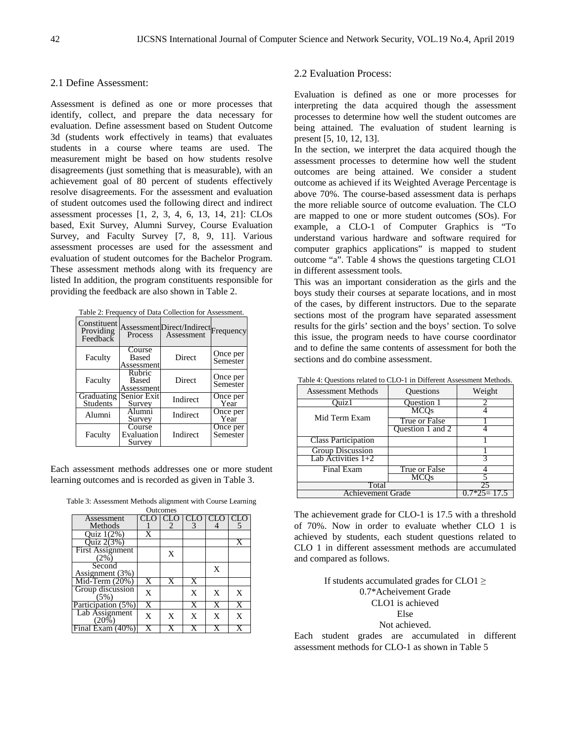## 2.1 Define Assessment:

Assessment is defined as one or more processes that identify, collect, and prepare the data necessary for evaluation. Define assessment based on Student Outcome 3d (students work effectively in teams) that evaluates students in a course where teams are used. The measurement might be based on how students resolve disagreements (just something that is measurable), with an achievement goal of 80 percent of students effectively resolve disagreements. For the assessment and evaluation of student outcomes used the following direct and indirect assessment processes [1, 2, 3, 4, 6, 13, 14, 21]: CLOs based, Exit Survey, Alumni Survey, Course Evaluation Survey, and Faculty Survey [7, 8, 9, 11]. Various assessment processes are used for the assessment and evaluation of student outcomes for the Bachelor Program. These assessment methods along with its frequency are listed In addition, the program constituents responsible for providing the feedback are also shown in Table 2.

Table 2: Frequency of Data Collection for Assessment.

| Constituent<br>Providing<br>Feedback | Process                              | Assessment Direct/Indirect Frequency<br>Assessment |                      |
|--------------------------------------|--------------------------------------|----------------------------------------------------|----------------------|
| Faculty                              | Course<br>Based<br>Assessment        | Direct                                             | Once per<br>Semester |
| Faculty                              | Rubric<br><b>Based</b><br>Assessment | Direct                                             | Once per<br>Semester |
| Graduating<br><b>Students</b>        | Senior Exit<br>Survey                | Indirect                                           | Once per<br>Year     |
| Alumni                               | Alumni<br>Survey                     | Indirect                                           | Once per<br>Year     |
| Faculty                              | Course<br>Evaluation<br>Survey       | Indirect                                           | Once per<br>Semester |

Each assessment methods addresses one or more student learning outcomes and is recorded as given in Table 3.

Table 3: Assessment Methods alignment with Course Learning

|                         |                       | Outcomes |                       |     |   |
|-------------------------|-----------------------|----------|-----------------------|-----|---|
| Assessment              |                       |          |                       | CLO |   |
| Methods                 |                       | 2        | 3                     |     |   |
| <b>Ouiz</b> 1(2%)       | X                     |          |                       |     |   |
| <b>Ouiz 2(3%)</b>       |                       |          |                       |     | X |
| <b>First Assignment</b> |                       | X        |                       |     |   |
| $(2\%$                  |                       |          |                       |     |   |
| Second                  |                       |          |                       | X   |   |
| Assignment (3%)         |                       |          |                       |     |   |
| Mid-Term $(20%)$        | X                     | X        | $\overline{\text{X}}$ |     |   |
| Group discussion        | X                     |          | X                     | X   | X |
| (5%)                    |                       |          |                       |     |   |
| Participation (5%)      | $\overline{\text{X}}$ |          | X                     | X   |   |
| Lab Assignment          | X                     | X        | X                     | X   | X |
| $(20\%$                 |                       |          |                       |     |   |
| Final Exam (40%         |                       |          |                       |     |   |

## 2.2 Evaluation Process:

Evaluation is defined as one or more processes for interpreting the data acquired though the assessment processes to determine how well the student outcomes are being attained. The evaluation of student learning is present [5, 10, 12, 13].

In the section, we interpret the data acquired though the assessment processes to determine how well the student outcomes are being attained. We consider a student outcome as achieved if its Weighted Average Percentage is above 70%. The course-based assessment data is perhaps the more reliable source of outcome evaluation. The CLO are mapped to one or more student outcomes (SOs). For example, a CLO-1 of Computer Graphics is "To understand various hardware and software required for computer graphics applications" is mapped to student outcome "a". Table 4 shows the questions targeting CLO1 in different assessment tools.

This was an important consideration as the girls and the boys study their courses at separate locations, and in most of the cases, by different instructors. Due to the separate sections most of the program have separated assessment results for the girls' section and the boys' section. To solve this issue, the program needs to have course coordinator and to define the same contents of assessment for both the sections and do combine assessment.

| <b>Assessment Methods</b>                | Questions         | Weight        |  |  |  |  |  |
|------------------------------------------|-------------------|---------------|--|--|--|--|--|
| Ouiz1                                    | <b>Ouestion 1</b> |               |  |  |  |  |  |
|                                          | <b>MCOs</b>       |               |  |  |  |  |  |
| Mid Term Exam                            | True or False     |               |  |  |  |  |  |
|                                          | Question 1 and 2  |               |  |  |  |  |  |
| <b>Class Participation</b>               |                   |               |  |  |  |  |  |
| <b>Group Discussion</b>                  |                   |               |  |  |  |  |  |
| $\overline{\text{Lab}}$ Activities $1+2$ |                   |               |  |  |  |  |  |
| Final Exam                               | True or False     |               |  |  |  |  |  |
|                                          | <b>MCOs</b>       |               |  |  |  |  |  |
| Total                                    |                   |               |  |  |  |  |  |
| Achievement Grade                        |                   | $0.7*25=17.5$ |  |  |  |  |  |

Table 4: Questions related to CLO-1 in Different Assessment Methods.

The achievement grade for CLO-1 is 17.5 with a threshold of 70%. Now in order to evaluate whether CLO 1 is achieved by students, each student questions related to CLO 1 in different assessment methods are accumulated and compared as follows.

> If students accumulated grades for CLO1  $\geq$ 0.7\*Acheivement Grade CLO1 is achieved Else Not achieved.

Each student grades are accumulated in different assessment methods for CLO-1 as shown in Table 5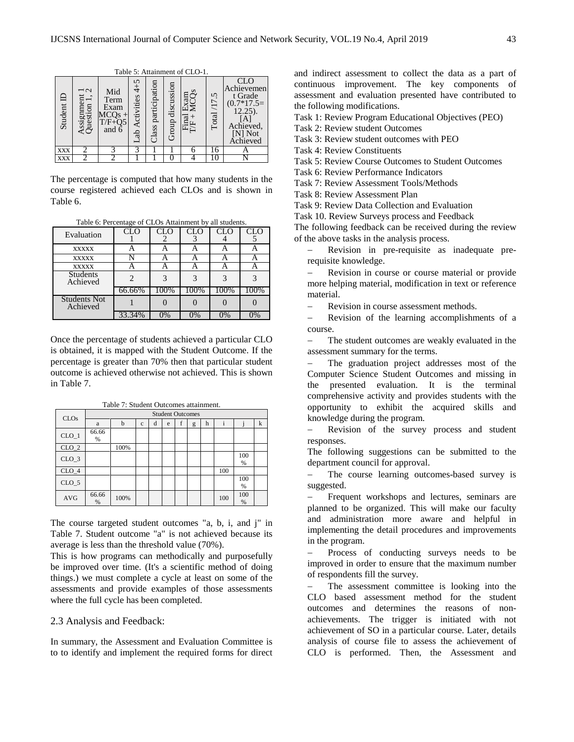|            | Table 5. Thummont of CEO 1.   |                                                             |                            |                        |                     |                            |            |                                                                                                    |  |  |  |
|------------|-------------------------------|-------------------------------------------------------------|----------------------------|------------------------|---------------------|----------------------------|------------|----------------------------------------------------------------------------------------------------|--|--|--|
| Student ID | Assignment 1<br>Question 1, 2 | Mid<br>Term<br>Exam<br>$MCQs +$<br>$T/F+Q5$<br>and $\delta$ | 5<br>4<br>Activities<br>da | participation<br>Class | discussion<br>Group | Exam<br>MCQs<br>Final<br>円 | Total/17.5 | CLC<br>Achievemen<br>t Grade<br>$(0.7*17.5=$<br>12.25).<br>[A]<br>Achieved,<br>[N] Not<br>Achieved |  |  |  |
| XXX        |                               |                                                             |                            |                        |                     |                            | 16         |                                                                                                    |  |  |  |
| XXX        |                               |                                                             |                            |                        |                     |                            |            |                                                                                                    |  |  |  |

Table 5: Attainment of CLO-1.

The percentage is computed that how many students in the course registered achieved each CLOs and is shown in Table 6.

Table 6: Percentage of CLOs Attainment by all students.

| Evaluation                      | <b>CLO</b> | CLO  | <b>CLO</b> | <b>CLO</b> | CLO  |
|---------------------------------|------------|------|------------|------------|------|
| <b>XXXXX</b>                    |            |      |            |            |      |
| <b>XXXXX</b>                    |            |      |            |            |      |
| <b>XXXXX</b>                    |            |      |            |            |      |
| <b>Students</b><br>Achieved     |            |      |            |            |      |
|                                 | 66.66%     | 100% | 100%       | 100%       | 100% |
| <b>Students Not</b><br>Achieved |            |      |            |            |      |
|                                 | 33.34%     | በ%   | 0%         | $0\%$      |      |

Once the percentage of students achieved a particular CLO is obtained, it is mapped with the Student Outcome. If the percentage is greater than 70% then that particular student outcome is achieved otherwise not achieved. This is shown in Table 7.

| CLO <sub>s</sub> |            |      |              |   |   |   | <b>Student Outcomes</b> |   |     |          |   |
|------------------|------------|------|--------------|---|---|---|-------------------------|---|-----|----------|---|
|                  | a          | b    | $\mathbf{c}$ | d | e | f | g                       | h | Ť   |          | k |
| $CLO_1$          | 66.66<br>% |      |              |   |   |   |                         |   |     |          |   |
| $CLO_2$          |            | 100% |              |   |   |   |                         |   |     |          |   |
| $CLO_3$          |            |      |              |   |   |   |                         |   |     | 100<br>% |   |
| $CLO_4$          |            |      |              |   |   |   |                         |   | 100 |          |   |
| $CLO_5$          |            |      |              |   |   |   |                         |   |     | 100<br>% |   |
| <b>AVG</b>       | 66.66<br>% | 100% |              |   |   |   |                         |   | 100 | 100<br>% |   |

Table 7: Student Outcomes attainment.

The course targeted student outcomes "a, b, i, and j" in Table 7. Student outcome "a" is not achieved because its average is less than the threshold value (70%).

This is how programs can methodically and purposefully be improved over time. (It's a scientific method of doing things.) we must complete a cycle at least on some of the assessments and provide examples of those assessments where the full cycle has been completed.

#### 2.3 Analysis and Feedback:

In summary, the Assessment and Evaluation Committee is to to identify and implement the required forms for direct

and indirect assessment to collect the data as a part of continuous improvement. The key components of assessment and evaluation presented have contributed to the following modifications.

Task 1: Review Program Educational Objectives (PEO)

Task 2: Review student Outcomes

Task 3: Review student outcomes with PEO

Task 4: Review Constituents

Task 5: Review Course Outcomes to Student Outcomes

Task 6: Review Performance Indicators

Task 7: Review Assessment Tools/Methods

Task 8: Review Assessment Plan

Task 9: Review Data Collection and Evaluation

Task 10. Review Surveys process and Feedback

The following feedback can be received during the review of the above tasks in the analysis process.

− Revision in pre-requisite as inadequate prerequisite knowledge.

Revision in course or course material or provide more helping material, modification in text or reference material.

Revision in course assessment methods.

Revision of the learning accomplishments of a course.

The student outcomes are weakly evaluated in the assessment summary for the terms.

− The graduation project addresses most of the Computer Science Student Outcomes and missing in the presented evaluation. It is the terminal comprehensive activity and provides students with the opportunity to exhibit the acquired skills and knowledge during the program.

Revision of the survey process and student responses.

The following suggestions can be submitted to the department council for approval.

The course learning outcomes-based survey is suggested.

Frequent workshops and lectures, seminars are planned to be organized. This will make our faculty and administration more aware and helpful in implementing the detail procedures and improvements in the program.

Process of conducting surveys needs to be improved in order to ensure that the maximum number of respondents fill the survey.

The assessment committee is looking into the CLO based assessment method for the student outcomes and determines the reasons of nonachievements. The trigger is initiated with not achievement of SO in a particular course. Later, details analysis of course file to assess the achievement of CLO is performed. Then, the Assessment and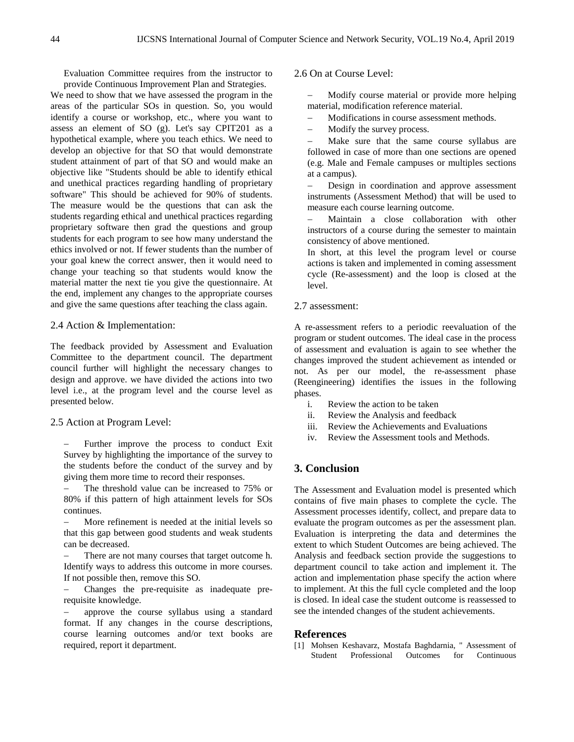Evaluation Committee requires from the instructor to provide Continuous Improvement Plan and Strategies.

We need to show that we have assessed the program in the areas of the particular SOs in question. So, you would identify a course or workshop, etc., where you want to assess an element of SO (g). Let's say CPIT201 as a hypothetical example, where you teach ethics. We need to develop an objective for that SO that would demonstrate student attainment of part of that SO and would make an objective like "Students should be able to identify ethical and unethical practices regarding handling of proprietary software" This should be achieved for 90% of students. The measure would be the questions that can ask the students regarding ethical and unethical practices regarding proprietary software then grad the questions and group students for each program to see how many understand the ethics involved or not. If fewer students than the number of your goal knew the correct answer, then it would need to change your teaching so that students would know the material matter the next tie you give the questionnaire. At the end, implement any changes to the appropriate courses and give the same questions after teaching the class again.

## 2.4 Action & Implementation:

The feedback provided by Assessment and Evaluation Committee to the department council. The department council further will highlight the necessary changes to design and approve. we have divided the actions into two level i.e., at the program level and the course level as presented below.

#### 2.5 Action at Program Level:

Further improve the process to conduct Exit Survey by highlighting the importance of the survey to the students before the conduct of the survey and by giving them more time to record their responses.

The threshold value can be increased to 75% or 80% if this pattern of high attainment levels for SOs continues.

− More refinement is needed at the initial levels so that this gap between good students and weak students can be decreased.

There are not many courses that target outcome h. Identify ways to address this outcome in more courses. If not possible then, remove this SO.

− Changes the pre-requisite as inadequate prerequisite knowledge.

approve the course syllabus using a standard format. If any changes in the course descriptions, course learning outcomes and/or text books are required, report it department.

#### 2.6 On at Course Level:

Modify course material or provide more helping material, modification reference material.

− Modifications in course assessment methods.

Modify the survey process.

− Make sure that the same course syllabus are followed in case of more than one sections are opened (e.g. Male and Female campuses or multiples sections at a campus).

Design in coordination and approve assessment instruments (Assessment Method) that will be used to measure each course learning outcome.

Maintain a close collaboration with other instructors of a course during the semester to maintain consistency of above mentioned.

In short, at this level the program level or course actions is taken and implemented in coming assessment cycle (Re-assessment) and the loop is closed at the level.

## 2.7 assessment:

A re-assessment refers to a periodic reevaluation of the program or student outcomes. The ideal case in the process of assessment and evaluation is again to see whether the changes improved the student achievement as intended or not. As per our model, the re-assessment phase (Reengineering) identifies the issues in the following phases.

- i. Review the action to be taken
- ii. Review the Analysis and feedback
- iii. Review the Achievements and Evaluations
- iv. Review the Assessment tools and Methods.

## **3. Conclusion**

The Assessment and Evaluation model is presented which contains of five main phases to complete the cycle. The Assessment processes identify, collect, and prepare data to evaluate the program outcomes as per the assessment plan. Evaluation is interpreting the data and determines the extent to which Student Outcomes are being achieved. The Analysis and feedback section provide the suggestions to department council to take action and implement it. The action and implementation phase specify the action where to implement. At this the full cycle completed and the loop is closed. In ideal case the student outcome is reassessed to see the intended changes of the student achievements.

#### **References**

[1] Mohsen Keshavarz, Mostafa Baghdarnia, " Assessment of Student Professional Outcomes for Continuous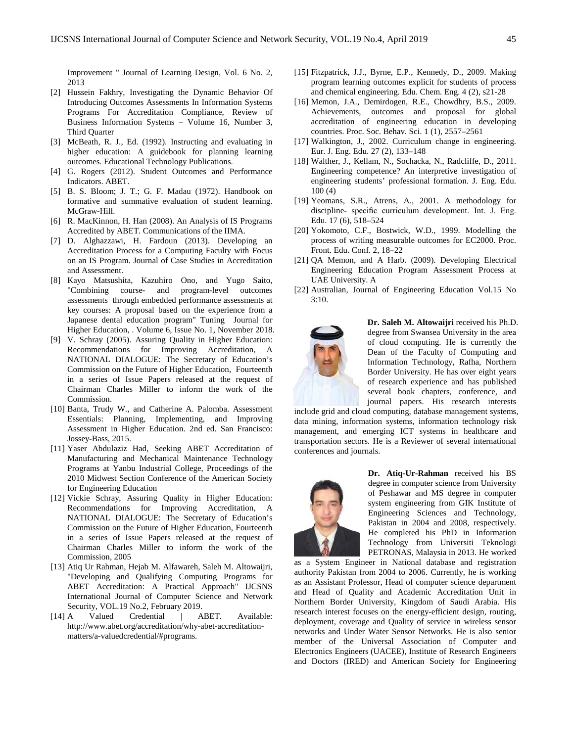Improvement " Journal of Learning Design, Vol. 6 No. 2, 2013

- [2] Hussein Fakhry, Investigating the Dynamic Behavior Of Introducing Outcomes Assessments In Information Systems Programs For Accreditation Compliance, Review of Business Information Systems – Volume 16, Number 3, Third Quarter
- [3] McBeath, R. J., Ed. (1992). Instructing and evaluating in higher education: A guidebook for planning learning outcomes. Educational Technology Publications.
- [4] G. Rogers (2012). Student Outcomes and Performance Indicators. ABET.
- [5] B. S. Bloom; J. T.; G. F. Madau (1972). Handbook on formative and summative evaluation of student learning. McGraw-Hill.
- [6] R. MacKinnon, H. Han (2008). An Analysis of IS Programs Accredited by ABET. Communications of the IIMA.
- [7] D. Alghazzawi, H. Fardoun (2013). Developing an Accreditation Process for a Computing Faculty with Focus on an IS Program. Journal of Case Studies in Accreditation and Assessment.
- [8] Kayo Matsushita, Kazuhiro Ono, and Yugo Saito, "Combining course- and program-level outcomes assessments through embedded performance assessments at key courses: A proposal based on the experience from a Japanese dental education program" Tuning Journal for Higher Education, . Volume 6, Issue No. 1, November 2018.
- [9] V. Schray (2005). Assuring Quality in Higher Education: Recommendations for Improving Accreditation, A NATIONAL DIALOGUE: The Secretary of Education's Commission on the Future of Higher Education, Fourteenth in a series of Issue Papers released at the request of Chairman Charles Miller to inform the work of the Commission.
- [10] Banta, Trudy W., and Catherine A. Palomba. Assessment Essentials: Planning, Implementing, and Improving Assessment in Higher Education. 2nd ed. San Francisco: Jossey-Bass, 2015.
- [11] Yaser Abdulaziz Had, Seeking ABET Accreditation of Manufacturing and Mechanical Maintenance Technology Programs at Yanbu Industrial College, Proceedings of the 2010 Midwest Section Conference of the American Society for Engineering Education
- [12] Vickie Schray, Assuring Quality in Higher Education: Recommendations for Improving Accreditation, A NATIONAL DIALOGUE: The Secretary of Education's Commission on the Future of Higher Education, Fourteenth in a series of Issue Papers released at the request of Chairman Charles Miller to inform the work of the Commission, 2005
- [13] Atiq Ur Rahman, Hejab M. Alfawareh, Saleh M. Altowaijri, "Developing and Qualifying Computing Programs for ABET Accreditation: A Practical Approach" IJCSNS International Journal of Computer Science and Network Security, VOL.19 No.2, February 2019.<br>A Valued Credential | ABET.
- [14] A Valued Credential | ABET. Available: [http://www.abet.org/accreditation/why-abet-accreditation](http://www.abet.org/accreditation/why-abet-accreditation-matters/a-valuedcredential/#programs)[matters/a-valuedcredential/#programs.](http://www.abet.org/accreditation/why-abet-accreditation-matters/a-valuedcredential/#programs)
- [15] Fitzpatrick, J.J., Byrne, E.P., Kennedy, D., 2009. Making program learning outcomes explicit for students of process and chemical engineering. Edu. Chem. Eng. 4 (2), s21-28
- [16] Memon, J.A., Demirdogen, R.E., Chowdhry, B.S., 2009. Achievements, outcomes and proposal for global accreditation of engineering education in developing countries. Proc. Soc. Behav. Sci. 1 (1), 2557–2561
- [17] Walkington, J., 2002. Curriculum change in engineering. Eur. J. Eng. Edu. 27 (2), 133–148
- [18] Walther, J., Kellam, N., Sochacka, N., Radcliffe, D., 2011. Engineering competence? An interpretive investigation of engineering students' professional formation. J. Eng. Edu. 100 (4)
- [19] Yeomans, S.R., Atrens, A., 2001. A methodology for discipline- specific curriculum development. Int. J. Eng. Edu. 17 (6), 518–524
- [20] Yokomoto, C.F., Bostwick, W.D., 1999. Modelling the process of writing measurable outcomes for EC2000. Proc. Front. Edu. Conf. 2, 18–22
- [21] OA Memon, and A Harb. (2009). Developing Electrical Engineering Education Program Assessment Process at UAE University. A
- [22] Australian, Journal of Engineering Education Vol.15 No 3:10.



**Dr. Saleh M. Altowaijri** received his Ph.D. degree from Swansea University in the area of cloud computing. He is currently the Dean of the Faculty of Computing and Information Technology, Rafha, Northern Border University. He has over eight years of research experience and has published several book chapters, conference, and journal papers. His research interests

include grid and cloud computing, database management systems, data mining, information systems, information technology risk management, and emerging ICT systems in healthcare and transportation sectors. He is a Reviewer of several international conferences and journals.



**Dr. Atiq-Ur-Rahman** received his BS degree in computer science from University of Peshawar and MS degree in computer system engineering from GIK Institute of Engineering Sciences and Technology, Pakistan in 2004 and 2008, respectively. He completed his PhD in Information Technology from Universiti Teknologi PETRONAS, Malaysia in 2013. He worked

as a System Engineer in National database and registration authority Pakistan from 2004 to 2006. Currently, he is working as an Assistant Professor, Head of computer science department and Head of Quality and Academic Accreditation Unit in Northern Border University, Kingdom of Saudi Arabia. His research interest focuses on the energy-efficient design, routing, deployment, coverage and Quality of service in wireless sensor networks and Under Water Sensor Networks. He is also senior member of the Universal Association of Computer and Electronics Engineers (UACEE), Institute of Research Engineers and Doctors (IRED) and American Society for Engineering